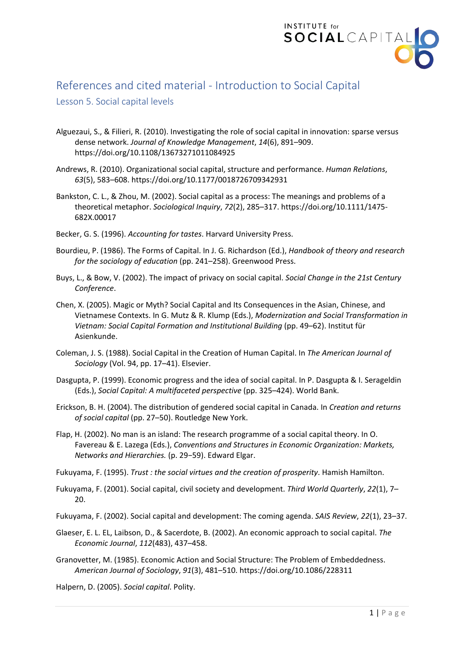

## References and cited material - Introduction to Social Capital

## Lesson 5. Social capital levels

- Alguezaui, S., & Filieri, R. (2010). Investigating the role of social capital in innovation: sparse versus dense network. *Journal of Knowledge Management*, *14*(6), 891–909. https://doi.org/10.1108/13673271011084925
- Andrews, R. (2010). Organizational social capital, structure and performance. *Human Relations*, *63*(5), 583–608. https://doi.org/10.1177/0018726709342931
- Bankston, C. L., & Zhou, M. (2002). Social capital as a process: The meanings and problems of a theoretical metaphor. *Sociological Inquiry*, *72*(2), 285–317. https://doi.org/10.1111/1475- 682X.00017
- Becker, G. S. (1996). *Accounting for tastes*. Harvard University Press.
- Bourdieu, P. (1986). The Forms of Capital. In J. G. Richardson (Ed.), *Handbook of theory and research for the sociology of education* (pp. 241–258). Greenwood Press.
- Buys, L., & Bow, V. (2002). The impact of privacy on social capital. *Social Change in the 21st Century Conference*.
- Chen, X. (2005). Magic or Myth? Social Capital and Its Consequences in the Asian, Chinese, and Vietnamese Contexts. In G. Mutz & R. Klump (Eds.), *Modernization and Social Transformation in Vietnam: Social Capital Formation and Institutional Building* (pp. 49–62). Institut für Asienkunde.
- Coleman, J. S. (1988). Social Capital in the Creation of Human Capital. In *The American Journal of Sociology* (Vol. 94, pp. 17–41). Elsevier.
- Dasgupta, P. (1999). Economic progress and the idea of social capital. In P. Dasgupta & I. Serageldin (Eds.), *Social Capital: A multifaceted perspective* (pp. 325–424). World Bank.
- Erickson, B. H. (2004). The distribution of gendered social capital in Canada. In *Creation and returns of social capital* (pp. 27–50). Routledge New York.
- Flap, H. (2002). No man is an island: The research programme of a social capital theory. In O. Favereau & E. Lazega (Eds.), *Conventions and Structures in Economic Organization: Markets, Networks and Hierarchies.* (p. 29−59). Edward Elgar.
- Fukuyama, F. (1995). *Trust : the social virtues and the creation of prosperity*. Hamish Hamilton.
- Fukuyama, F. (2001). Social capital, civil society and development. *Third World Quarterly*, *22*(1), 7– 20.
- Fukuyama, F. (2002). Social capital and development: The coming agenda. *SAIS Review*, *22*(1), 23–37.
- Glaeser, E. L. EL, Laibson, D., & Sacerdote, B. (2002). An economic approach to social capital. *The Economic Journal*, *112*(483), 437–458.
- Granovetter, M. (1985). Economic Action and Social Structure: The Problem of Embeddedness. *American Journal of Sociology*, *91*(3), 481–510. https://doi.org/10.1086/228311

Halpern, D. (2005). *Social capital*. Polity.